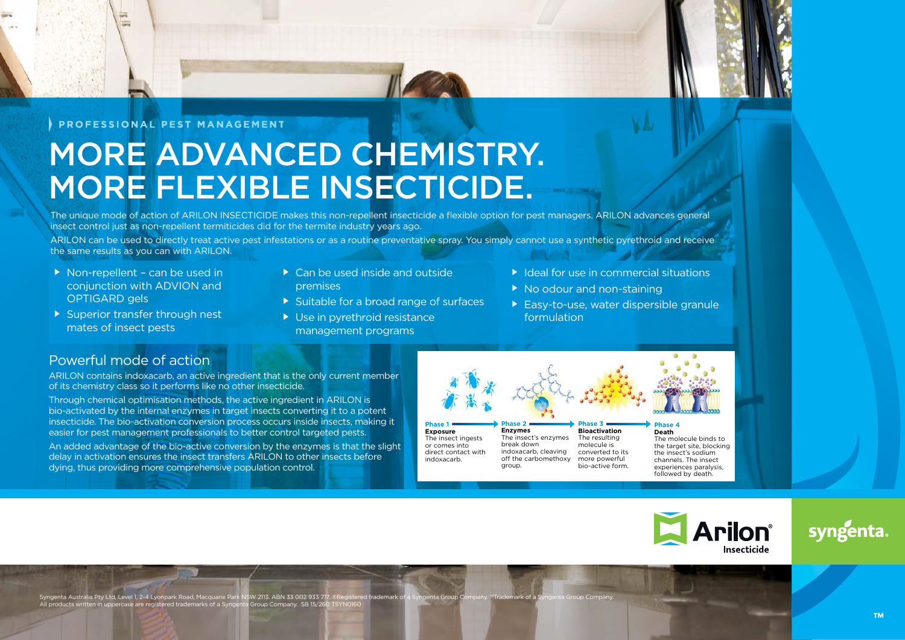### PROFESSIONAL PEST MANAGEMENT

# MORE ADVANCED CHEMISTRY. MORE FLEXIBLE INSECTICIDE.

The unique mode of action of ARILON INSECTICIDE makes this non-repellent insecticide a flexible option for pest managers. ARILON advances general insect control just as non-repellent termiticides did for the termite industry years ago.

ARILON can be used to directly treat active pest infestations or as a routine preventative spray. You simply cannot use a synthetic pyrethroid and receive the same results as you can with ARILON.

- $\triangleright$  Non-repellent can be used in conjunction with ADVION and OPTIGARD gels
- $\triangleright$  Superior transfer through nest mates of insect pests
- Can be used inside and outside premises
- Suitable for a broad range of surfaces
- ▶ Use in pyrethroid resistance management programs
- $\blacktriangleright$  Ideal for use in commercial situations
- ▶ No odour and non-staining

molecule is

bio-active form.

 Easy-to-use, water dispersible granule formulation

# Powerful mode of action

ARILON contains indoxacarb, an active ingredient that is the only current member of its chemistry class so it performs like no other insecticide.

Through chemical optimisation methods, the active ingredient in ARILON is bio-activated by the internal enzymes in target insects converting it to a potent insecticide. The bio-activation conversion process occurs inside insects, making it easier for pest management professionals to better control targeted pests.

An added advantage of the bio-active conversion by the enzymes is that the slight delay in activation ensures the insect transfers ARILON to other insects before dying, thus providing more comprehensive population control.

**Phase 1 Exposure** The insect ingests or comes into direct contact with indoxacarb. **Phase 2 Enzymes** break down

The insect's enzymes indoxacarb, cleaving off the carbomethoxy group.

**Phase 3 Bioactivation** The resulting converted to its more powerful **Phase 4 Death**

The molecule binds to the target site, blocking the insect's sodium channels. The insect experiences paralysis, followed by death.



# svngenta

Syngenta Australia Pty Ltd, Level 1, 2-4 Lyonpark Road, Macquarie Park NSW 2113. ABN 33 002 933 717. ®Registered trademark of a Syngenta Group C All products written in uppercase are registered trademarks of a Syngenta Group Company. SB 15/260 TSY